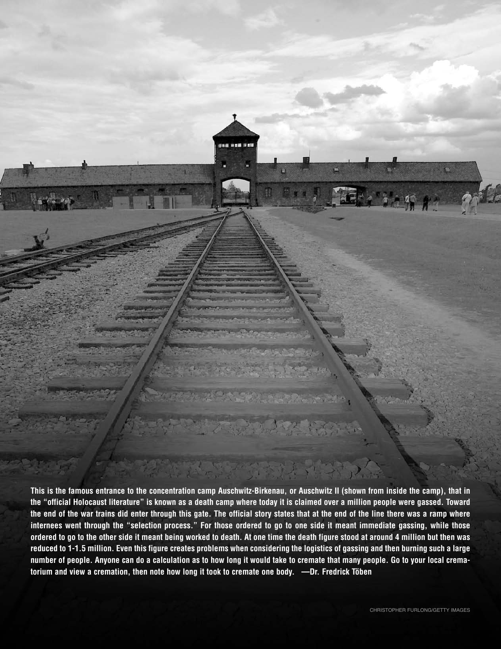

**This is the famous entrance to the concentration camp Auschwitz-Birkenau, or Auschwitz II (shown from inside the camp), that in the "official Holocaust literature" is known as a death camp where today it is claimed over a million people were gassed. Toward the end of the war trains did enter through this gate. The official story states that at the end of the line there was a ramp where internees went through the "selection process." For those ordered to go to one side it meant immediate gassing, while those ordered to go to the other side it meant being worked to death. At one time the death figure stood at around 4 million but then was reduced to 1-1.5 million. Even this figure creates problems when considering the logistics of gassing and then burning such a large number of people. Anyone can do a calculation as to how long it would take to cremate that many people. Go to your local crematorium and view a cremation, then note how long it took to cremate one body. —Dr. Fredrick Töben**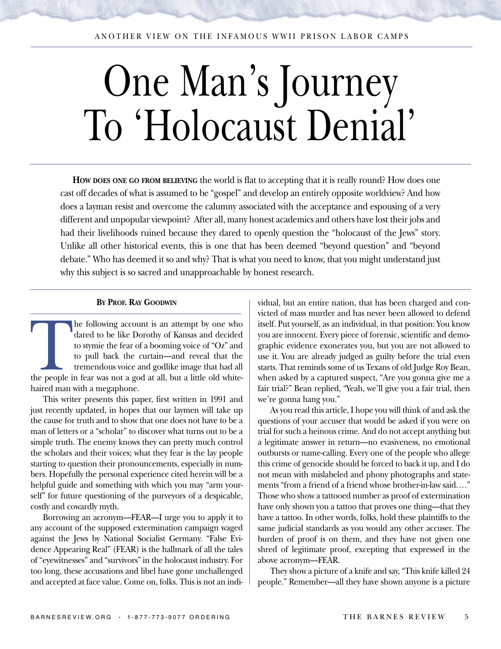# One Man's Journey To 'Holocaust Denial'

**HOW DOES ONE GO FROM BELIEVING** the world is flat to accepting that it is really round? How does one cast off decades of what is assumed to be "gospel" and develop an entirely opposite worldview? And how does a layman resist and overcome the calumny associated with the acceptance and espousing of a very different and unpopular viewpoint? After all, many honest academics and others have lost their jobs and had their livelihoods ruined because they dared to openly question the "holocaust of the Jews" story. Unlike all other historical events, this is one that has been deemed "beyond question" and "beyond debate." Who has deemed it so and why? That is what you need to know, that you might understand just why this subject is so sacred and unapproachable by honest research.

#### **BY PROF. RAY GOODWIN**

The following account is an attempt by one who<br>dared to be like Dorothy of Kansas and decided<br>to stymie the fear of a booming voice of "Oz" and<br>to pull back the curtain—and reveal that the<br>tremendous voice and godlike imag dared to be like Dorothy of Kansas and decided to stymie the fear of a booming voice of "Oz" and to pull back the curtain—and reveal that the tremendous voice and godlike image that had all haired man with a megaphone.

This writer presents this paper, first written in 1991 and just recently updated, in hopes that our laymen will take up the cause for truth and to show that one does not have to be a man of letters or a "scholar" to discover what turns out to be a simple truth. The enemy knows they can pretty much control the scholars and their voices; what they fear is the lay people starting to question their pronouncements, especially in numbers. Hopefully the personal experience cited herein will be a helpful guide and something with which you may "arm yourself" for future questioning of the purveyors of a despicable, costly and cowardly myth.

Borrowing an acronym—FEAR—I urge you to apply it to any account of the supposed extermination campaign waged against the Jews by National Socialist Germany. "False Evidence Appearing Real" (FEAR) is the hallmark of all the tales of "eyewitnesses" and "survivors" in the holocaust industry. For too long, these accusations and libel have gone unchallenged and accepted at face value. Come on, folks. This is not an individual, but an entire nation, that has been charged and convicted of mass murder and has never been allowed to defend itself. Put yourself, as an individual, in that position: You know you are innocent. Every piece of forensic, scientific and demographic evidence exonerates you, but you are not allowed to use it. You are already judged as guilty before the trial even starts. That reminds some of us Texans of old Judge Roy Bean, when asked by a captured suspect, "Are you gonna give me a fair trial?" Bean replied, "Yeah, we'll give you a fair trial, then we're gonna hang you."

As you read this article, I hope you will think of and ask the questions of your accuser that would be asked if you were on trial for such a heinous crime. And do not accept anything but a legitimate answer in return—no evasiveness, no emotional outbursts or name-calling. Every one of the people who allege this crime of genocide should be forced to back it up, and I do not mean with mislabeled and phony photographs and statements "from a friend of a friend whose brother-in-law said.…" Those who show a tattooed number as proof of extermination have only shown you a tattoo that proves one thing—that they have a tattoo. In other words, folks, hold these plaintiffs to the same judicial standards as you would any other accuser. The burden of proof is on them, and they have not given one shred of legitimate proof, excepting that expressed in the above acronym—FEAR.

They show a picture of a knife and say, "This knife killed 24 people." Remember—all they have shown anyone is a picture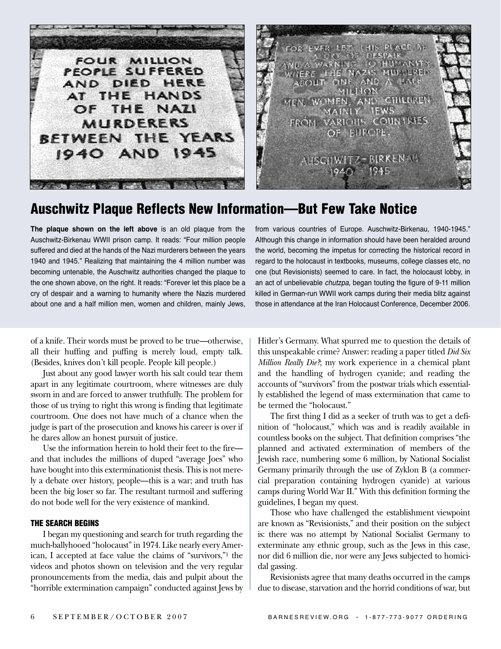

## **Auschwitz Plaque Reflects New Information—But Few Take Notice**

**The plaque shown on the left above** is an old plaque from the Auschwitz-Birkenau WWII prison camp. It reads: "Four million people suffered and died at the hands of the Nazi murderers between the years 1940 and 1945." Realizing that maintaining the 4 million number was becoming untenable, the Auschwitz authorities changed the plaque to the one shown above, on the right. It reads: "Forever let this place be a cry of despair and a warning to humanity where the Nazis murdered about one and a half million men, women and children, mainly Jews,

from various countries of Europe. Auschwitz-Birkenau, 1940-1945." Although this change in information should have been heralded around the world, becoming the impetus for correcting the historical record in regard to the holocaust in textbooks, museums, college classes etc, no one (but Revisionists) seemed to care. In fact, the holocaust lobby, in an act of unbelievable *chutzpa*, began touting the figure of 9-11 million killed in German-run WWII work camps during their media blitz against those in attendance at the Iran Holocaust Conference, December 2006.

of a knife. Their words must be proved to be true—otherwise, all their huffing and puffing is merely loud, empty talk. (Besides, knives don't kill people. People kill people.)

Just about any good lawyer worth his salt could tear them apart in any legitimate courtroom, where witnesses are duly sworn in and are forced to answer truthfully. The problem for those of us trying to right this wrong is finding that legitimate courtroom. One does not have much of a chance when the judge is part of the prosecution and knows his career is over if he dares allow an honest pursuit of justice.

Use the information herein to hold their feet to the fire and that includes the millions of duped "average Joes" who have bought into this exterminationist thesis. This is not merely a debate over history, people—this is a war; and truth has been the big loser so far. The resultant turmoil and suffering do not bode well for the very existence of mankind.

#### **THE SEARCH BEGINS**

I began my questioning and search for truth regarding the much-ballyhooed "holocaust" in 1974. Like nearly every American, I accepted at face value the claims of "survivors,"1 the videos and photos shown on television and the very regular pronouncements from the media, dais and pulpit about the "horrible extermination campaign" conducted against Jews by

Hitler's Germany. What spurred me to question the details of this unspeakable crime? Answer: reading a paper titled *Did Six Million Really Die?*; my work experience in a chemical plant and the handling of hydrogen cyanide; and reading the accounts of "survivors" from the postwar trials which essentially established the legend of mass extermination that came to be termed the "holocaust."

The first thing I did as a seeker of truth was to get a definition of "holocaust," which was and is readily available in countless books on the subject. That definition comprises "the planned and activated extermination of members of the Jewish race, numbering some 6 million, by National Socialist Germany primarily through the use of Zyklon B (a commercial preparation containing hydrogen cyanide) at various camps during World War II." With this definition forming the guidelines, I began my quest.

Those who have challenged the establishment viewpoint are known as "Revisionists," and their position on the subject is: there was no attempt by National Socialist Germany to exterminate any ethnic group, such as the Jews in this case, nor did 6 million die, nor were any Jews subjected to homicidal gassing.

Revisionists agree that many deaths occurred in the camps due to disease, starvation and the horrid conditions of war, but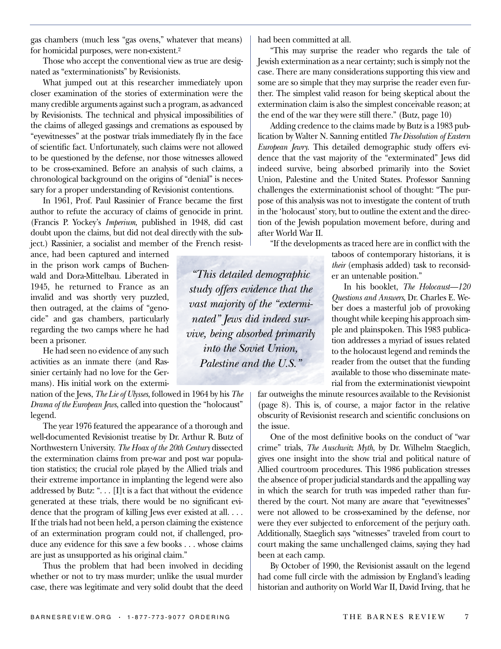gas chambers (much less "gas ovens," whatever that means) for homicidal purposes, were non-existent.2

Those who accept the conventional view as true are designated as "exterminationists" by Revisionists.

What jumped out at this researcher immediately upon closer examination of the stories of extermination were the many credible arguments against such a program, as advanced by Revisionists. The technical and physical impossibilities of the claims of alleged gassings and cremations as espoused by "eyewitnesses" at the postwar trials immediately fly in the face of scientific fact. Unfortunately, such claims were not allowed to be questioned by the defense, nor those witnesses allowed to be cross-examined. Before an analysis of such claims, a chronological background on the origins of "denial" is necessary for a proper understanding of Revisionist contentions.

In 1961, Prof. Paul Rassinier of France became the first author to refute the accuracy of claims of genocide in print. (Francis P. Yockey's *Imperium*, published in 1948, did cast doubt upon the claims, but did not deal directly with the subject.) Rassinier, a socialist and member of the French resist-

ance, had been captured and interned in the prison work camps of Buchenwald and Dora-Mittelbau. Liberated in 1945, he returned to France as an invalid and was shortly very puzzled, then outraged, at the claims of "genocide" and gas chambers, particularly regarding the two camps where he had been a prisoner.

He had seen no evidence of any such activities as an inmate there (and Rassinier certainly had no love for the Germans). His initial work on the extermi-

nation of the Jews, *The Lie of Ulysses*, followed in 1964 by his *The Drama of the European Jews*, called into question the "holocaust" legend.

The year 1976 featured the appearance of a thorough and well-documented Revisionist treatise by Dr. Arthur R. Butz of Northwestern University. *The Hoax of the 20th Century* dissected the extermination claims from pre-war and post war population statistics; the crucial role played by the Allied trials and their extreme importance in implanting the legend were also addressed by Butz: ". . . [I]t is a fact that without the evidence generated at these trials, there would be no significant evidence that the program of killing Jews ever existed at all. . . . If the trials had not been held, a person claiming the existence of an extermination program could not, if challenged, produce any evidence for this save a few books . . . whose claims are just as unsupported as his original claim."

Thus the problem that had been involved in deciding whether or not to try mass murder; unlike the usual murder case, there was legitimate and very solid doubt that the deed had been committed at all.

"This may surprise the reader who regards the tale of Jewish extermination as a near certainty; such is simply not the case. There are many considerations supporting this view and some are so simple that they may surprise the reader even further. The simplest valid reason for being skeptical about the extermination claim is also the simplest conceivable reason; at the end of the war they were still there." (Butz, page 10)

Adding credence to the claims made by Butz is a 1983 publication by Walter N. Sanning entitled *The Dissolution of Eastern European Jewry*. This detailed demographic study offers evidence that the vast majority of the "exterminated" Jews did indeed survive, being absorbed primarily into the Soviet Union, Palestine and the United States. Professor Sanning challenges the exterminationist school of thought: "The purpose of this analysis was not to investigate the content of truth in the 'holocaust' story, but to outline the extent and the direction of the Jewish population movement before, during and after World War II.

"If the developments as traced here are in conflict with the

taboos of contemporary historians, it is *their* (emphasis added) task to reconsider an untenable position."

In his booklet, *The Holocaust—120 Questions and Answers*, Dr. Charles E. Weber does a masterful job of provoking thought while keeping his approach simple and plainspoken. This 1983 publication addresses a myriad of issues related to the holocaust legend and reminds the reader from the outset that the funding available to those who disseminate material from the exterminationist viewpoint

far outweighs the minute resources available to the Revisionist (page 8). This is, of course, a major factor in the relative obscurity of Revisionist research and scientific conclusions on the issue.

One of the most definitive books on the conduct of "war crime" trials, *The Auschwitz Myth*, by Dr. Wilhelm Staeglich, gives one insight into the show trial and political nature of Allied courtroom procedures. This 1986 publication stresses the absence of proper judicial standards and the appalling way in which the search for truth was impeded rather than furthered by the court. Not many are aware that "eyewitnesses" were not allowed to be cross-examined by the defense, nor were they ever subjected to enforcement of the perjury oath. Additionally, Staeglich says "witnesses" traveled from court to court making the same unchallenged claims, saying they had been at each camp.

By October of 1990, the Revisionist assault on the legend had come full circle with the admission by England's leading historian and authority on World War II, David Irving, that he

*"This detailed demographic study offers evidence that the vast majority of the "exterminated" Jews did indeed survive, being absorbed primarily into the Soviet Union, Palestine and the U.S."*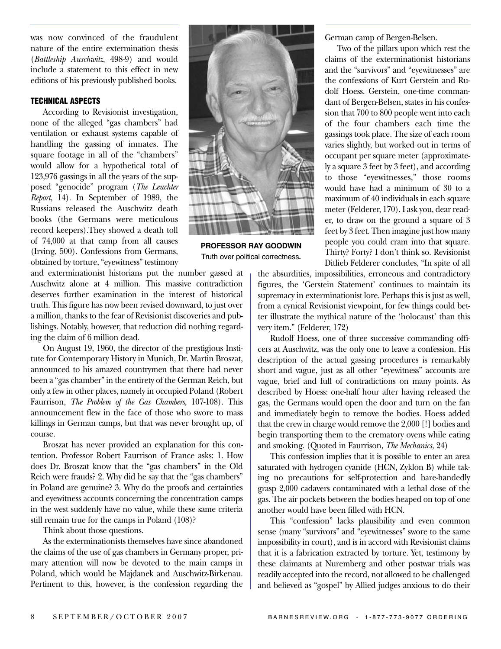was now convinced of the fraudulent nature of the entire extermination thesis (*Battleship Auschwitz*, 498-9) and would include a statement to this effect in new editions of his previously published books.

#### **TECHNICAL ASPECTS**

According to Revisionist investigation, none of the alleged "gas chambers" had ventilation or exhaust systems capable of handling the gassing of inmates. The square footage in all of the "chambers" would allow for a hypothetical total of 123,976 gassings in all the years of the supposed "genocide" program (*The Leuchter Report*, 14). In September of 1989, the Russians released the Auschwitz death books (the Germans were meticulous record keepers).They showed a death toll of 74,000 at that camp from all causes (Irving, 500). Confessions from Germans, obtained by torture, "eyewitness" testimony



**PROFESSOR RAY GOODWIN** Truth over political correctness**.**

and exterminationist historians put the number gassed at Auschwitz alone at 4 million. This massive contradiction deserves further examination in the interest of historical truth. This figure has now been revised downward, to just over a million, thanks to the fear of Revisionist discoveries and publishings. Notably, however, that reduction did nothing regarding the claim of 6 million dead.

On August 19, 1960, the director of the prestigious Institute for Contemporary History in Munich, Dr. Martin Broszat, announced to his amazed countrymen that there had never been a "gas chamber" in the entirety of the German Reich, but only a few in other places, namely in occupied Poland (Robert Faurrison, *The Problem of the Gas Chambers*, 107-108). This announcement flew in the face of those who swore to mass killings in German camps, but that was never brought up, of course.

Broszat has never provided an explanation for this contention. Professor Robert Faurrison of France asks: 1. How does Dr. Broszat know that the "gas chambers" in the Old Reich were frauds? 2. Why did he say that the "gas chambers" in Poland are genuine? 3. Why do the proofs and certainties and eyewitness accounts concerning the concentration camps in the west suddenly have no value, while these same criteria still remain true for the camps in Poland (108)?

Think about those questions.

As the exterminationists themselves have since abandoned the claims of the use of gas chambers in Germany proper, primary attention will now be devoted to the main camps in Poland, which would be Majdanek and Auschwitz-Birkenau. Pertinent to this, however, is the confession regarding the

German camp of Bergen-Belsen.

Two of the pillars upon which rest the claims of the exterminationist historians and the "survivors" and "eyewitnesses" are the confessions of Kurt Gerstein and Rudolf Hoess. Gerstein, one-time commandant of Bergen-Belsen, states in his confession that 700 to 800 people went into each of the four chambers each time the gassings took place. The size of each room varies slightly, but worked out in terms of occupant per square meter (approximately a square 3 feet by 3 feet), and according to those "eyewitnesses," those rooms would have had a minimum of 30 to a maximum of 40 individuals in each square meter (Felderer, 170). I ask you, dear reader, to draw on the ground a square of 3 feet by 3 feet. Then imagine just how many people you could cram into that square. Thirty? Forty? I don't think so. Revisionist Ditlieb Felderer concludes, "In spite of all

the absurdities, impossibilities, erroneous and contradictory figures, the 'Gerstein Statement' continues to maintain its supremacy in exterminationist lore. Perhaps this is just as well, from a cynical Revisionist viewpoint, for few things could better illustrate the mythical nature of the 'holocaust' than this very item." (Felderer, 172)

Rudolf Hoess, one of three successive commanding officers at Auschwitz, was the only one to leave a confession. His description of the actual gassing procedures is remarkably short and vague, just as all other "eyewitness" accounts are vague, brief and full of contradictions on many points. As described by Hoess: one-half hour after having released the gas, the Germans would open the door and turn on the fan and immediately begin to remove the bodies. Hoess added that the crew in charge would remove the 2,000 [!] bodies and begin transporting them to the crematory ovens while eating and smoking. (Quoted in Faurrison, *The Mechanics*, 24)

This confession implies that it is possible to enter an area saturated with hydrogen cyanide (HCN, Zyklon B) while taking no precautions for self-protection and bare-handedly grasp 2,000 cadavers contaminated with a lethal dose of the gas. The air pockets between the bodies heaped on top of one another would have been filled with HCN.

This "confession" lacks plausibility and even common sense (many "survivors" and "eyewitnesses" swore to the same impossibility in court), and is in accord with Revisionist claims that it is a fabrication extracted by torture. Yet, testimony by these claimants at Nuremberg and other postwar trials was readily accepted into the record, not allowed to be challenged and believed as "gospel" by Allied judges anxious to do their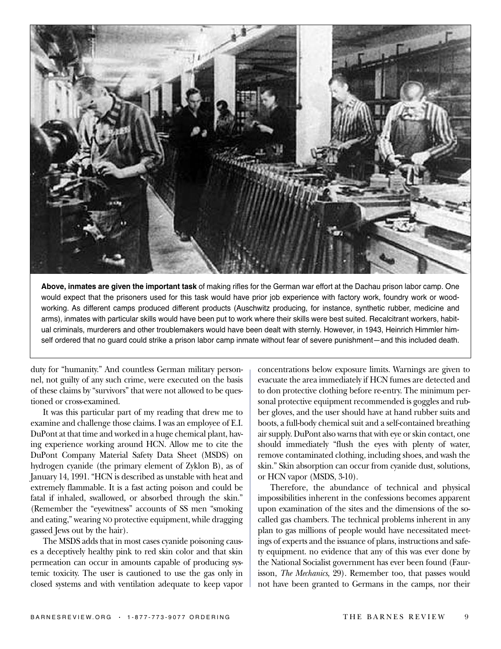

**Above, inmates are given the important task** of making rifles for the German war effort at the Dachau prison labor camp. One would expect that the prisoners used for this task would have prior job experience with factory work, foundry work or woodworking. As different camps produced different products (Auschwitz producing, for instance, synthetic rubber, medicine and arms), inmates with particular skills would have been put to work where their skills were best suited. Recalcitrant workers, habitual criminals, murderers and other troublemakers would have been dealt with sternly. However, in 1943, Heinrich Himmler himself ordered that no guard could strike a prison labor camp inmate without fear of severe punishment—and this included death.

duty for "humanity." And countless German military personnel, not guilty of any such crime, were executed on the basis of these claims by "survivors" that were not allowed to be questioned or cross-examined.

It was this particular part of my reading that drew me to examine and challenge those claims. I was an employee of E.I. DuPont at that time and worked in a huge chemical plant, having experience working around HCN. Allow me to cite the DuPont Company Material Safety Data Sheet (MSDS) on hydrogen cyanide (the primary element of Zyklon B), as of January 14, 1991. "HCN is described as unstable with heat and extremely flammable. It is a fast acting poison and could be fatal if inhaled, swallowed, or absorbed through the skin." (Remember the "eyewitness" accounts of SS men "smoking and eating," wearing NO protective equipment, while dragging gassed Jews out by the hair).

The MSDS adds that in most cases cyanide poisoning causes a deceptively healthy pink to red skin color and that skin permeation can occur in amounts capable of producing systemic toxicity. The user is cautioned to use the gas only in closed systems and with ventilation adequate to keep vapor

concentrations below exposure limits. Warnings are given to evacuate the area immediately if HCN fumes are detected and to don protective clothing before re-entry. The minimum personal protective equipment recommended is goggles and rubber gloves, and the user should have at hand rubber suits and boots, a full-body chemical suit and a self-contained breathing air supply. DuPont also warns that with eye or skin contact, one should immediately "flush the eyes with plenty of water, remove contaminated clothing, including shoes, and wash the skin." Skin absorption can occur from cyanide dust, solutions, or HCN vapor (MSDS, 3-10).

Therefore, the abundance of technical and physical impossibilities inherent in the confessions becomes apparent upon examination of the sites and the dimensions of the socalled gas chambers. The technical problems inherent in any plan to gas millions of people would have necessitated meetings of experts and the issuance of plans, instructions and safety equipment. no evidence that any of this was ever done by the National Socialist government has ever been found (Faurisson, *The Mechanics*, 29). Remember too, that passes would not have been granted to Germans in the camps, nor their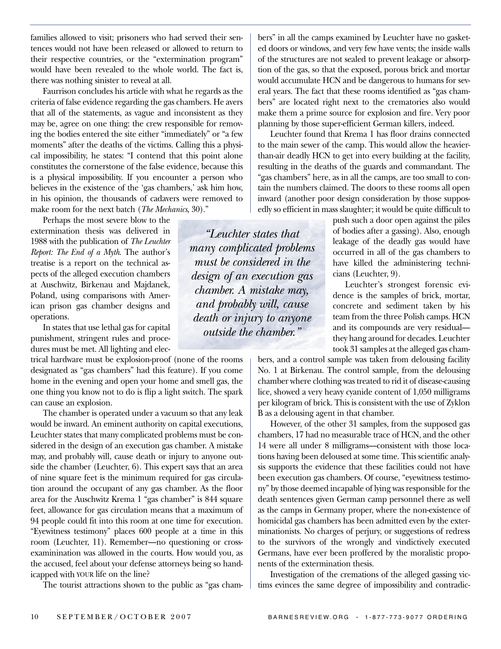families allowed to visit; prisoners who had served their sentences would not have been released or allowed to return to their respective countries, or the "extermination program" would have been revealed to the whole world. The fact is, there was nothing sinister to reveal at all.

Faurrison concludes his article with what he regards as the criteria of false evidence regarding the gas chambers. He avers that all of the statements, as vague and inconsistent as they may be, agree on one thing: the crew responsible for removing the bodies entered the site either "immediately" or "a few moments" after the deaths of the victims. Calling this a physical impossibility, he states: "I contend that this point alone constitutes the cornerstone of the false evidence, because this is a physical impossibility. If you encounter a person who believes in the existence of the 'gas chambers,' ask him how, in his opinion, the thousands of cadavers were removed to make room for the next batch (*The Mechanics*, 30)."

Perhaps the most severe blow to the extermination thesis was delivered in 1988 with the publication of *The Leuchter Report: The End of a Myth*. The author's treatise is a report on the technical aspects of the alleged execution chambers at Auschwitz, Birkenau and Majdanek, Poland, using comparisons with American prison gas chamber designs and operations.

In states that use lethal gas for capital punishment, stringent rules and procedures must be met. All lighting and elec-

trical hardware must be explosion-proof (none of the rooms designated as "gas chambers" had this feature). If you come home in the evening and open your home and smell gas, the one thing you know not to do is flip a light switch. The spark can cause an explosion.

The chamber is operated under a vacuum so that any leak would be inward. An eminent authority on capital executions, Leuchter states that many complicated problems must be considered in the design of an execution gas chamber. A mistake may, and probably will, cause death or injury to anyone outside the chamber (Leuchter, 6). This expert says that an area of nine square feet is the minimum required for gas circulation around the occupant of any gas chamber. As the floor area for the Auschwitz Krema 1 "gas chamber" is 844 square feet, allowance for gas circulation means that a maximum of 94 people could fit into this room at one time for execution. "Eyewitness testimony" places 600 people at a time in this room (Leuchter, 11). Remember—no questioning or crossexaminination was allowed in the courts. How would you, as the accused, feel about your defense attorneys being so handicapped with YOUR life on the line?

The tourist attractions shown to the public as "gas cham-

*"Leuchter states that many complicated problems must be considered in the design of an execution gas chamber. A mistake may, and probably will, cause death or injury to anyone outside the chamber."*

bers" in all the camps examined by Leuchter have no gasketed doors or windows, and very few have vents; the inside walls of the structures are not sealed to prevent leakage or absorption of the gas, so that the exposed, porous brick and mortar would accumulate HCN and be dangerous to humans for several years. The fact that these rooms identified as "gas chambers" are located right next to the crematories also would make them a prime source for explosion and fire. Very poor planning by those super-efficient German killers, indeed.

Leuchter found that Krema 1 has floor drains connected to the main sewer of the camp. This would allow the heavierthan-air deadly HCN to get into every building at the facility, resulting in the deaths of the guards and commandant. The "gas chambers" here, as in all the camps, are too small to contain the numbers claimed. The doors to these rooms all open inward (another poor design consideration by those supposedly so efficient in mass slaughter; it would be quite difficult to

push such a door open against the piles of bodies after a gassing). Also, enough leakage of the deadly gas would have occurred in all of the gas chambers to have killed the administering technicians (Leuchter, 9).

Leuchter's strongest forensic evidence is the samples of brick, mortar, concrete and sediment taken by his team from the three Polish camps. HCN and its compounds are very residual they hang around for decades. Leuchter took 31 samples at the alleged gas cham-

bers, and a control sample was taken from delousing facility No. 1 at Birkenau. The control sample, from the delousing chamber where clothing was treated to rid it of disease-causing lice, showed a very heavy cyanide content of 1,050 milligrams per kilogram of brick. This is consistent with the use of Zyklon B as a delousing agent in that chamber.

However, of the other 31 samples, from the supposed gas chambers, 17 had no measurable trace of HCN, and the other 14 were all under 8 milligrams—consistent with those locations having been deloused at some time. This scientific analysis supports the evidence that these facilities could not have been execution gas chambers. Of course, "eyewitness testimony" by those deemed incapable of lying was responsible for the death sentences given German camp personnel there as well as the camps in Germany proper, where the non-existence of homicidal gas chambers has been admitted even by the exterminationists. No charges of perjury, or suggestions of redress to the survivors of the wrongly and vindictively executed Germans, have ever been proffered by the moralistic proponents of the extermination thesis.

Investigation of the cremations of the alleged gassing victims evinces the same degree of impossibility and contradic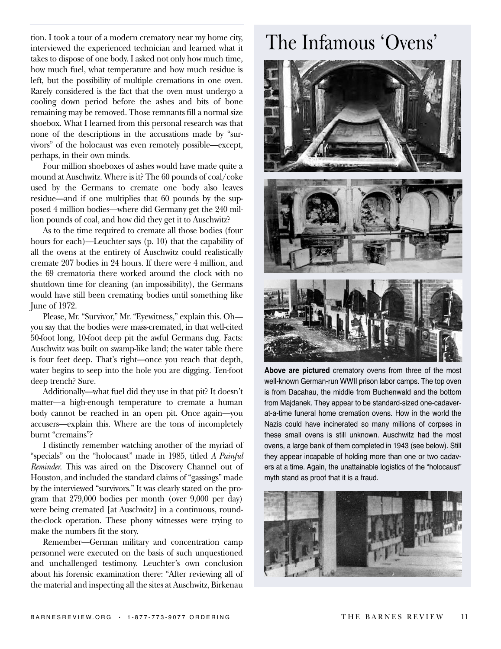tion. I took a tour of a modern crematory near my home city, interviewed the experienced technician and learned what it takes to dispose of one body. I asked not only how much time, how much fuel, what temperature and how much residue is left, but the possibility of multiple cremations in one oven. Rarely considered is the fact that the oven must undergo a cooling down period before the ashes and bits of bone remaining may be removed. Those remnants fill a normal size shoebox. What I learned from this personal research was that none of the descriptions in the accusations made by "survivors" of the holocaust was even remotely possible—except, perhaps, in their own minds.

Four million shoeboxes of ashes would have made quite a mound at Auschwitz. Where is it? The 60 pounds of coal/coke used by the Germans to cremate one body also leaves residue—and if one multiplies that 60 pounds by the supposed 4 million bodies—where did Germany get the 240 million pounds of coal, and how did they get it to Auschwitz?

As to the time required to cremate all those bodies (four hours for each)—Leuchter says (p. 10) that the capability of all the ovens at the entirety of Auschwitz could realistically cremate 207 bodies in 24 hours. If there were 4 million, and the 69 crematoria there worked around the clock with no shutdown time for cleaning (an impossibility), the Germans would have still been cremating bodies until something like June of 1972.

Please, Mr. "Survivor," Mr. "Eyewitness," explain this. Oh you say that the bodies were mass-cremated, in that well-cited 50-foot long, 10-foot deep pit the awful Germans dug. Facts: Auschwitz was built on swamp-like land; the water table there is four feet deep. That's right—once you reach that depth, water begins to seep into the hole you are digging. Ten-foot deep trench? Sure.

Additionally—what fuel did they use in that pit? It doesn't matter—a high-enough temperature to cremate a human body cannot be reached in an open pit. Once again—you accusers—explain this. Where are the tons of incompletely burnt "cremains"?

I distinctly remember watching another of the myriad of "specials" on the "holocaust" made in 1985, titled *A Painful Reminder*. This was aired on the Discovery Channel out of Houston, and included the standard claims of "gassings" made by the interviewed "survivors." It was clearly stated on the program that 279,000 bodies per month (over 9,000 per day) were being cremated [at Auschwitz] in a continuous, roundthe-clock operation. These phony witnesses were trying to make the numbers fit the story.

Remember—German military and concentration camp personnel were executed on the basis of such unquestioned and unchallenged testimony. Leuchter's own conclusion about his forensic examination there: "After reviewing all of the material and inspecting all the sites at Auschwitz, Birkenau

## The Infamous 'Ovens'



**Above are pictured** crematory ovens from three of the most well-known German-run WWII prison labor camps. The top oven is from Dacahau, the middle from Buchenwald and the bottom from Majdanek. They appear to be standard-sized one-cadaverat-a-time funeral home cremation ovens. How in the world the Nazis could have incinerated so many millions of corpses in these small ovens is still unknown. Auschwitz had the most ovens, a large bank of them completed in 1943 (see below). Still they appear incapable of holding more than one or two cadavers at a time. Again, the unattainable logistics of the "holocaust" myth stand as proof that it is a fraud.

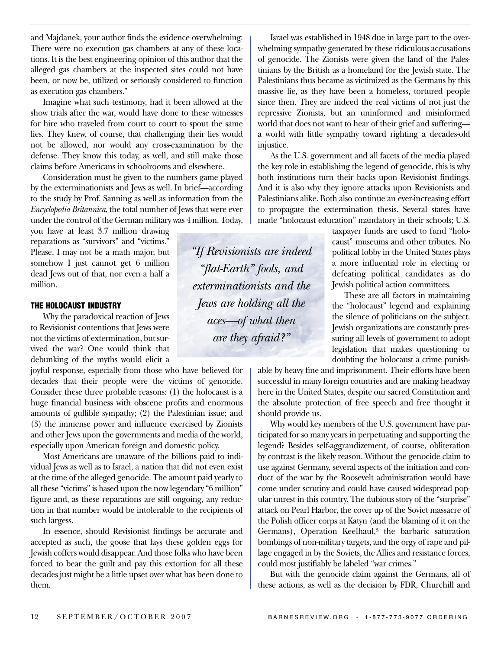and Majdanek, your author finds the evidence overwhelming: There were no execution gas chambers at any of these locations. It is the best engineering opinion of this author that the alleged gas chambers at the inspected sites could not have been, or now be, utilized or seriously considered to function as execution gas chambers."

Imagine what such testimony, had it been allowed at the show trials after the war, would have done to these witnesses for hire who traveled from court to court to spout the same lies. They knew, of course, that challenging their lies would not be allowed, nor would any cross-examination by the defense. They know this today, as well, and still make those claims before Americans in schoolrooms and elsewhere.

Consideration must be given to the numbers game played by the exterminationists and Jews as well. In brief—according to the study by Prof. Sanning as well as information from the *Encyclopedia Britannica*, the total number of Jews that were ever under the control of the German military was 4 million. Today,

you have at least 3.7 million drawing reparations as "survivors" and "victims." Please, I may not be a math major, but somehow I just cannot get 6 million dead Jews out of that, nor even a half a million.

#### **THE HOLOCAUST INDUSTRY**

Why the paradoxical reaction of Jews to Revisionist contentions that Jews were not the victims of extermination, but survived the war? One would think that debunking of the myths would elicit a

joyful response, especially from those who have believed for decades that their people were the victims of genocide. Consider these three probable reasons: (1) the holocaust is a huge financial business with obscene profits and enormous amounts of gullible sympathy; (2) the Palestinian issue; and (3) the immense power and influence exercised by Zionists and other Jews upon the governments and media of the world, especially upon American foreign and domestic policy.

Most Americans are unaware of the billions paid to individual Jews as well as to Israel, a nation that did not even exist at the time of the alleged genocide. The amount paid yearly to all these "victims" is based upon the now legendary "6 million" figure and, as these reparations are still ongoing, any reduction in that number would be intolerable to the recipients of such largess.

In essence, should Revisionist findings be accurate and accepted as such, the goose that lays these golden eggs for Jewish coffers would disappear. And those folks who have been forced to bear the guilt and pay this extortion for all these decades just might be a little upset over what has been done to them.

Israel was established in 1948 due in large part to the overwhelming sympathy generated by these ridiculous accusations of genocide. The Zionists were given the land of the Palestinians by the British as a homeland for the Jewish state. The Palestinians thus became as victimized as the Germans by this massive lie, as they have been a homeless, tortured people since then. They are indeed the real victims of not just the repressive Zionists, but an uninformed and misinformed world that does not want to hear of their grief and suffering a world with little sympathy toward righting a decades-old injustice.

As the U.S. government and all facets of the media played the key role in establishing the legend of genocide, this is why both institutions turn their backs upon Revisionist findings. And it is also why they ignore attacks upon Revisionists and Palestinians alike. Both also continue an ever-increasing effort to propagate the extermination thesis. Several states have made "holocaust education" mandatory in their schools; U.S.

> taxpayer funds are used to fund "holocaust" museums and other tributes. No political lobby in the United States plays a more influential role in electing or defeating political candidates as do Jewish political action committees.

> These are all factors in maintaining the "holocaust" legend and explaining the silence of politicians on the subject. Jewish organizations are constantly pressuring all levels of government to adopt legislation that makes questioning or doubting the holocaust a crime punish-

able by heavy fine and imprisonment. Their efforts have been successful in many foreign countries and are making headway here in the United States, despite our sacred Constitution and the absolute protection of free speech and free thought it should provide us.

Why would key members of the U.S. government have participated for so many years in perpetuating and supporting the legend? Besides self-aggrandizement, of course, obliteration by contrast is the likely reason. Without the genocide claim to use against Germany, several aspects of the initiation and conduct of the war by the Roosevelt administration would have come under scrutiny and could have caused widespread popular unrest in this country. The dubious story of the "surprise" attack on Pearl Harbor, the cover up of the Soviet massacre of the Polish officer corps at Katyn (and the blaming of it on the Germans), Operation Keelhaul,<sup>3</sup> the barbaric saturation bombings of non-military targets, and the orgy of rape and pillage engaged in by the Soviets, the Allies and resistance forces, could most justifiably be labeled "war crimes."

But with the genocide claim against the Germans, all of these actions, as well as the decision by FDR, Churchill and

*"If Revisionists are indeed "flat-Earth" fools, and exterminationists and the Jews are holding all the aces—of what then are they afraid?"*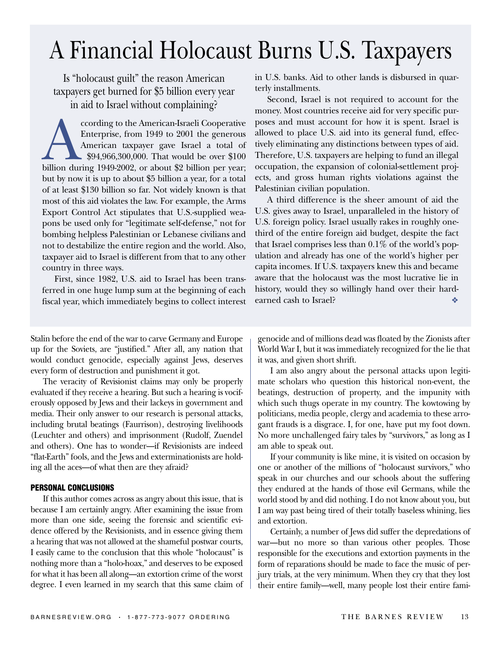# A Financial Holocaust Burns U.S. Taxpayers

Is "holocaust guilt" the reason American taxpayers get burned for \$5 billion every year in aid to Israel without complaining?

cording to the American-Israeli Cooperative<br>Enterprise, from 1949 to 2001 the generous<br>American taxpayer gave Israel a total of<br>\$94,966,300,000. That would be over \$100<br>billion during 1949-2002, or about \$2 billion per yea Enterprise, from 1949 to 2001 the generous American taxpayer gave Israel a total of \$94,966,300,000. That would be over \$100 but by now it is up to about \$5 billion a year, for a total of at least \$130 billion so far. Not widely known is that most of this aid violates the law. For example, the Arms Export Control Act stipulates that U.S.-supplied weapons be used only for "legitimate self-defense," not for bombing helpless Palestinian or Lebanese civilians and not to destabilize the entire region and the world. Also, taxpayer aid to Israel is different from that to any other country in three ways.

First, since 1982, U.S. aid to Israel has been transferred in one huge lump sum at the beginning of each fiscal year, which immediately begins to collect interest

Stalin before the end of the war to carve Germany and Europe up for the Soviets, are "justified." After all, any nation that would conduct genocide, especially against Jews, deserves every form of destruction and punishment it got.

The veracity of Revisionist claims may only be properly evaluated if they receive a hearing. But such a hearing is vociferously opposed by Jews and their lackeys in government and media. Their only answer to our research is personal attacks, including brutal beatings (Faurrison), destroying livelihoods (Leuchter and others) and imprisonment (Rudolf, Zuendel and others). One has to wonder—if Revisionists are indeed "flat-Earth" fools, and the Jews and exterminationists are holding all the aces—of what then are they afraid?

#### **PERSONAL CONCLUSIONS**

If this author comes across as angry about this issue, that is because I am certainly angry. After examining the issue from more than one side, seeing the forensic and scientific evidence offered by the Revisionists, and in essence giving them a hearing that was not allowed at the shameful postwar courts, I easily came to the conclusion that this whole "holocaust" is nothing more than a "holo-hoax," and deserves to be exposed for what it has been all along—an extortion crime of the worst degree. I even learned in my search that this same claim of in U.S. banks. Aid to other lands is disbursed in quarterly installments.

Second, Israel is not required to account for the money. Most countries receive aid for very specific purposes and must account for how it is spent. Israel is allowed to place U.S. aid into its general fund, effectively eliminating any distinctions between types of aid. Therefore, U.S. taxpayers are helping to fund an illegal occupation, the expansion of colonial-settlement projects, and gross human rights violations against the Palestinian civilian population.

A third difference is the sheer amount of aid the U.S. gives away to Israel, unparalleled in the history of U.S. foreign policy. Israel usually rakes in roughly onethird of the entire foreign aid budget, despite the fact that Israel comprises less than 0.1% of the world's population and already has one of the world's higher per capita incomes. If U.S. taxpayers knew this and became aware that the holocaust was the most lucrative lie in history, would they so willingly hand over their hardearned cash to Israel? ❖

genocide and of millions dead was floated by the Zionists after World War I, but it was immediately recognized for the lie that it was, and given short shrift.

I am also angry about the personal attacks upon legitimate scholars who question this historical non-event, the beatings, destruction of property, and the impunity with which such thugs operate in my country. The kowtowing by politicians, media people, clergy and academia to these arrogant frauds is a disgrace. I, for one, have put my foot down. No more unchallenged fairy tales by "survivors," as long as I am able to speak out.

If your community is like mine, it is visited on occasion by one or another of the millions of "holocaust survivors," who speak in our churches and our schools about the suffering they endured at the hands of those evil Germans, while the world stood by and did nothing. I do not know about you, but I am way past being tired of their totally baseless whining, lies and extortion.

Certainly, a number of Jews did suffer the depredations of war—but no more so than various other peoples. Those responsible for the executions and extortion payments in the form of reparations should be made to face the music of perjury trials, at the very minimum. When they cry that they lost their entire family—well, many people lost their entire fami